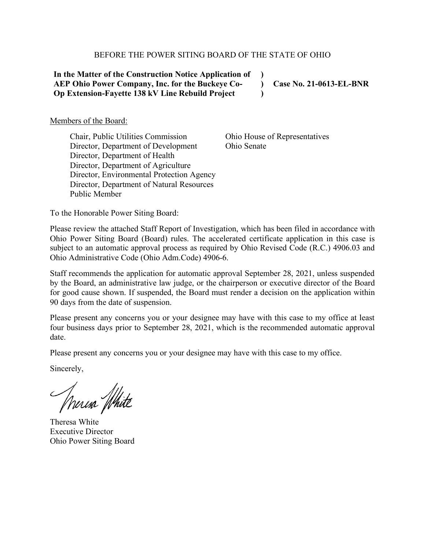#### BEFORE THE POWER SITING BOARD OF THE STATE OF OHIO

**In the Matter of the Construction Notice Application of AEP Ohio Power Company, Inc. for the Buckeye Co-Op Extension-Fayette 138 kV Line Rebuild Project**

**Case No. 21-0613-EL-BNR**

Members of the Board:

Chair, Public Utilities Commission Director, Department of Development Director, Department of Health Director, Department of Agriculture Director, Environmental Protection Agency Director, Department of Natural Resources Public Member

Ohio House of Representatives Ohio Senate

**) ) )**

To the Honorable Power Siting Board:

Please review the attached Staff Report of Investigation, which has been filed in accordance with Ohio Power Siting Board (Board) rules. The accelerated certificate application in this case is subject to an automatic approval process as required by Ohio Revised Code (R.C.) 4906.03 and Ohio Administrative Code (Ohio Adm.Code) 4906-6.

Staff recommends the application for automatic approval September 28, 2021, unless suspended by the Board, an administrative law judge, or the chairperson or executive director of the Board for good cause shown. If suspended, the Board must render a decision on the application within 90 days from the date of suspension.

Please present any concerns you or your designee may have with this case to my office at least four business days prior to September 28, 2021, which is the recommended automatic approval date.

Please present any concerns you or your designee may have with this case to my office.

Sincerely,

Theresa White

Theresa White Executive Director Ohio Power Siting Board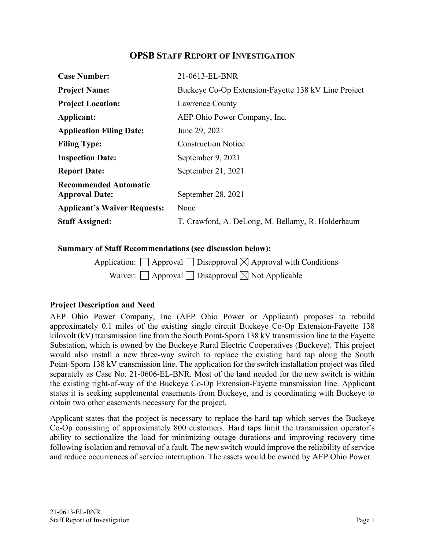### **OPSB STAFF REPORT OF INVESTIGATION**

| <b>Case Number:</b>                                   | 21-0613-EL-BNR                                      |
|-------------------------------------------------------|-----------------------------------------------------|
| <b>Project Name:</b>                                  | Buckeye Co-Op Extension-Fayette 138 kV Line Project |
| <b>Project Location:</b>                              | Lawrence County                                     |
| Applicant:                                            | AEP Ohio Power Company, Inc.                        |
| <b>Application Filing Date:</b>                       | June 29, 2021                                       |
| <b>Filing Type:</b>                                   | <b>Construction Notice</b>                          |
| <b>Inspection Date:</b>                               | September 9, 2021                                   |
| <b>Report Date:</b>                                   | September 21, 2021                                  |
| <b>Recommended Automatic</b><br><b>Approval Date:</b> | September 28, 2021                                  |
| <b>Applicant's Waiver Requests:</b>                   | None                                                |
| <b>Staff Assigned:</b>                                | T. Crawford, A. DeLong, M. Bellamy, R. Holderbaum   |

#### **Summary of Staff Recommendations (see discussion below):**

| Application: $\Box$ Approval $\Box$ Disapproval $\boxtimes$ Approval with Conditions |  |
|--------------------------------------------------------------------------------------|--|
| Waiver: $\Box$ Approval $\Box$ Disapproval $\boxtimes$ Not Applicable                |  |

### **Project Description and Need**

AEP Ohio Power Company, Inc (AEP Ohio Power or Applicant) proposes to rebuild approximately 0.1 miles of the existing single circuit Buckeye Co-Op Extension-Fayette 138 kilovolt (kV) transmission line from the South Point-Sporn 138 kV transmission line to the Fayette Substation, which is owned by the Buckeye Rural Electric Cooperatives (Buckeye). This project would also install a new three-way switch to replace the existing hard tap along the South Point-Sporn 138 kV transmission line. The application for the switch installation project was filed separately as Case No. 21-0606-EL-BNR. Most of the land needed for the new switch is within the existing right-of-way of the Buckeye Co-Op Extension-Fayette transmission line. Applicant states it is seeking supplemental easements from Buckeye, and is coordinating with Buckeye to obtain two other easements necessary for the project.

Applicant states that the project is necessary to replace the hard tap which serves the Buckeye Co-Op consisting of approximately 800 customers. Hard taps limit the transmission operator's ability to sectionalize the load for minimizing outage durations and improving recovery time following isolation and removal of a fault. The new switch would improve the reliability of service and reduce occurrences of service interruption. The assets would be owned by AEP Ohio Power.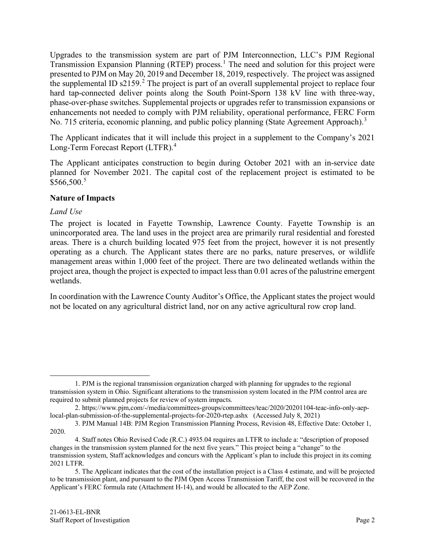Upgrades to the transmission system are part of PJM Interconnection, LLC's PJM Regional Transmission Expansion Planning (RTEP) process. [1](#page-2-3) The need and solution for this project were presented to PJM on May 20, 2019 and December 18, 2019, respectively. The project was assigned the supplemental ID  $s2159$  $s2159$  $s2159$ .<sup>2</sup> The project is part of an overall supplemental project to replace four hard tap-connected deliver points along the South Point-Sporn 138 kV line with three-way, phase-over-phase switches. Supplemental projects or upgrades refer to transmission expansions or enhancements not needed to comply with PJM reliability, operational performance, FERC Form No. 715 criteria, economic planning, and public policy planning (State Agreement Approach).<sup>[3](#page-2-2)</sup>

The Applicant indicates that it will include this project in a supplement to the Company's 2021 Long-Term Forecast Report (LTFR).<sup>[4](#page-2-0)</sup>

The Applicant anticipates construction to begin during October 2021 with an in-service date planned for November 2021. The capital cost of the replacement project is estimated to be  $$566,500.<sup>5</sup>$  $$566,500.<sup>5</sup>$  $$566,500.<sup>5</sup>$ 

### **Nature of Impacts**

### *Land Use*

The project is located in Fayette Township, Lawrence County. Fayette Township is an unincorporated area. The land uses in the project area are primarily rural residential and forested areas. There is a church building located 975 feet from the project, however it is not presently operating as a church. The Applicant states there are no parks, nature preserves, or wildlife management areas within 1,000 feet of the project. There are two delineated wetlands within the project area, though the project is expected to impact less than 0.01 acres of the palustrine emergent wetlands.

In coordination with the Lawrence County Auditor's Office, the Applicant states the project would not be located on any agricultural district land, nor on any active agricultural row crop land.

<span id="page-2-3"></span><sup>1.</sup> PJM is the regional transmission organization charged with planning for upgrades to the regional transmission system in Ohio. Significant alterations to the transmission system located in the PJM control area are required to submit planned projects for review of system impacts.

<span id="page-2-4"></span><sup>2.</sup> https://www.pjm,com/-/media/committees-groups/committees/teac/2020/20201104-teac-info-only-aeplocal-plan-submission-of-the-supplemental-projects-for-2020-rtep.ashx (Accessed July 8, 2021)

<span id="page-2-2"></span><sup>3.</sup> PJM Manual 14B: PJM Region Transmission Planning Process, Revision 48, Effective Date: October 1, 2020.

<span id="page-2-0"></span><sup>4.</sup> Staff notes Ohio Revised Code (R.C.) 4935.04 requires an LTFR to include a: "description of proposed changes in the transmission system planned for the next five years." This project being a "change" to the transmission system, Staff acknowledges and concurs with the Applicant's plan to include this project in its coming 2021 LTFR.

<span id="page-2-1"></span><sup>5.</sup> The Applicant indicates that the cost of the installation project is a Class 4 estimate, and will be projected to be transmission plant, and pursuant to the PJM Open Access Transmission Tariff, the cost will be recovered in the Applicant's FERC formula rate (Attachment H-14), and would be allocated to the AEP Zone.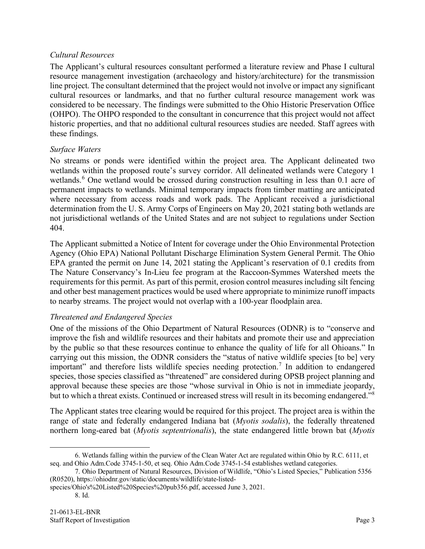### *Cultural Resources*

The Applicant's cultural resources consultant performed a literature review and Phase I cultural resource management investigation (archaeology and history/architecture) for the transmission line project. The consultant determined that the project would not involve or impact any significant cultural resources or landmarks, and that no further cultural resource management work was considered to be necessary. The findings were submitted to the Ohio Historic Preservation Office (OHPO). The OHPO responded to the consultant in concurrence that this project would not affect historic properties, and that no additional cultural resources studies are needed. Staff agrees with these findings.

## *Surface Waters*

No streams or ponds were identified within the project area. The Applicant delineated two wetlands within the proposed route's survey corridor. All delineated wetlands were Category 1 wetlands.<sup>[6](#page-3-2)</sup> One wetland would be crossed during construction resulting in less than 0.1 acre of permanent impacts to wetlands. Minimal temporary impacts from timber matting are anticipated where necessary from access roads and work pads. The Applicant received a jurisdictional determination from the U. S. Army Corps of Engineers on May 20, 2021 stating both wetlands are not jurisdictional wetlands of the United States and are not subject to regulations under Section 404.

The Applicant submitted a Notice of Intent for coverage under the Ohio Environmental Protection Agency (Ohio EPA) National Pollutant Discharge Elimination System General Permit. The Ohio EPA granted the permit on June 14, 2021 stating the Applicant's reservation of 0.1 credits from The Nature Conservancy's In-Lieu fee program at the Raccoon-Symmes Watershed meets the requirements for this permit. As part of this permit, erosion control measures including silt fencing and other best management practices would be used where appropriate to minimize runoff impacts to nearby streams. The project would not overlap with a 100-year floodplain area.

# *Threatened and Endangered Species*

One of the missions of the Ohio Department of Natural Resources (ODNR) is to "conserve and improve the fish and wildlife resources and their habitats and promote their use and appreciation by the public so that these resources continue to enhance the quality of life for all Ohioans." In carrying out this mission, the ODNR considers the "status of native wildlife species [to be] very important" and therefore lists wildlife species needing protection.<sup>[7](#page-3-1)</sup> In addition to endangered species, those species classified as "threatened" are considered during OPSB project planning and approval because these species are those "whose survival in Ohio is not in immediate jeopardy, but to which a threat exists. Continued or increased stress will result in its becoming endangered."<sup>[8](#page-3-0)</sup>

The Applicant states tree clearing would be required for this project. The project area is within the range of state and federally endangered Indiana bat (*Myotis sodalis*), the federally threatened northern long-eared bat (*Myotis septentrionalis*), the state endangered little brown bat (*Myotis* 

<span id="page-3-2"></span><sup>6.</sup> Wetlands falling within the purview of the Clean Water Act are regulated within Ohio by R.C. 6111, et seq. and Ohio Adm.Code 3745-1-50, et seq. Ohio Adm.Code 3745-1-54 establishes wetland categories.

<span id="page-3-1"></span><sup>7.</sup> Ohio Department of Natural Resources, Division of Wildlife, "Ohio's Listed Species," Publication 5356 (R0520), https://ohiodnr.gov/static/documents/wildlife/state-listed-

<span id="page-3-0"></span>species/Ohio's%20Listed%20Species%20pub356.pdf, accessed June 3, 2021.

<sup>8.</sup> Id.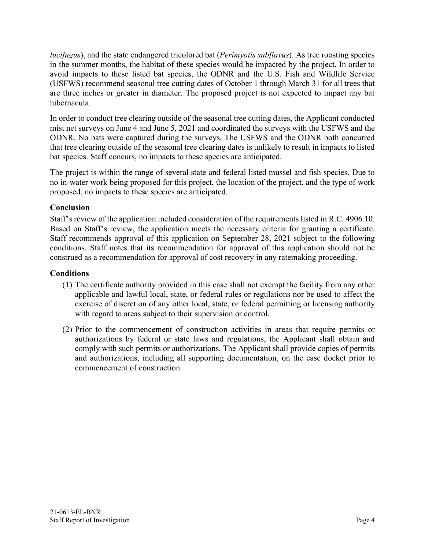*lucifugus*), and the state endangered tricolored bat (*Perimyotis subflavus*). As tree roosting species in the summer months, the habitat of these species would be impacted by the project. In order to avoid impacts to these listed bat species, the ODNR and the U.S. Fish and Wildlife Service (USFWS) recommend seasonal tree cutting dates of October 1 through March 31 for all trees that are three inches or greater in diameter. The proposed project is not expected to impact any bat hibernacula.

In order to conduct tree clearing outside of the seasonal tree cutting dates, the Applicant conducted mist net surveys on June 4 and June 5, 2021 and coordinated the surveys with the USFWS and the ODNR. No bats were captured during the surveys. The USFWS and the ODNR both concurred that tree clearing outside of the seasonal tree clearing dates is unlikely to result in impacts to listed bat species. Staff concurs, no impacts to these species are anticipated.

The project is within the range of several state and federal listed mussel and fish species. Due to no in-water work being proposed for this project, the location of the project, and the type of work proposed, no impacts to these species are anticipated.

## **Conclusion**

Staff's review of the application included consideration of the requirements listed in R.C. 4906.10. Based on Staff's review, the application meets the necessary criteria for granting a certificate. Staff recommends approval of this application on September 28, 2021 subject to the following conditions. Staff notes that its recommendation for approval of this application should not be construed as a recommendation for approval of cost recovery in any ratemaking proceeding.

# **Conditions**

- (1) The certificate authority provided in this case shall not exempt the facility from any other applicable and lawful local, state, or federal rules or regulations nor be used to affect the exercise of discretion of any other local, state, or federal permitting or licensing authority with regard to areas subject to their supervision or control.
- (2) Prior to the commencement of construction activities in areas that require permits or authorizations by federal or state laws and regulations, the Applicant shall obtain and comply with such permits or authorizations. The Applicant shall provide copies of permits and authorizations, including all supporting documentation, on the case docket prior to commencement of construction.